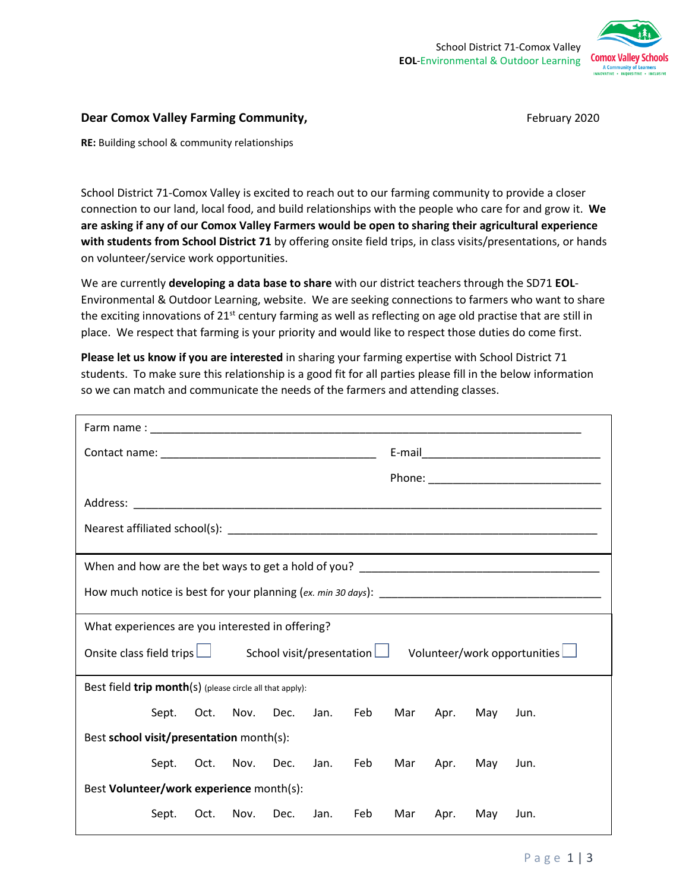

## **Dear Comox Valley Farming Community, Example 2020** February 2020

**RE:** Building school & community relationships

School District 71-Comox Valley is excited to reach out to our farming community to provide a closer connection to our land, local food, and build relationships with the people who care for and grow it. **We are asking if any of our Comox Valley Farmers would be open to sharing their agricultural experience with students from School District 71** by offering onsite field trips, in class visits/presentations, or hands on volunteer/service work opportunities.

We are currently **developing a data base to share** with our district teachers through the SD71 **EOL**-Environmental & Outdoor Learning, website. We are seeking connections to farmers who want to share the exciting innovations of  $21<sup>st</sup>$  century farming as well as reflecting on age old practise that are still in place. We respect that farming is your priority and would like to respect those duties do come first.

**Please let us know if you are interested** in sharing your farming expertise with School District 71 students. To make sure this relationship is a good fit for all parties please fill in the below information so we can match and communicate the needs of the farmers and attending classes.

| What experiences are you interested in offering?                                                        |            |           |      |          |     |                                        |      |     |      |  |
|---------------------------------------------------------------------------------------------------------|------------|-----------|------|----------|-----|----------------------------------------|------|-----|------|--|
| Onsite class field trips $\Box$ School visit/presentation $\Box$<br>Volunteer/work opportunities $\Box$ |            |           |      |          |     |                                        |      |     |      |  |
| Best field trip month(s) (please circle all that apply):                                                |            |           |      |          |     |                                        |      |     |      |  |
|                                                                                                         | Sept. Oct. | Nov. Dec. |      | Jan. Feb |     | Mar                                    | Apr. | May | Jun. |  |
| Best school visit/presentation month(s):                                                                |            |           |      |          |     |                                        |      |     |      |  |
|                                                                                                         |            |           |      |          |     | Sept. Oct. Nov. Dec. Jan. Feb Mar Apr. |      | May | Jun. |  |
| Best Volunteer/work experience month(s):                                                                |            |           |      |          |     |                                        |      |     |      |  |
|                                                                                                         | Sept. Oct. | Nov.      | Dec. | Jan.     | Feb | Mar                                    | Apr. | May | Jun. |  |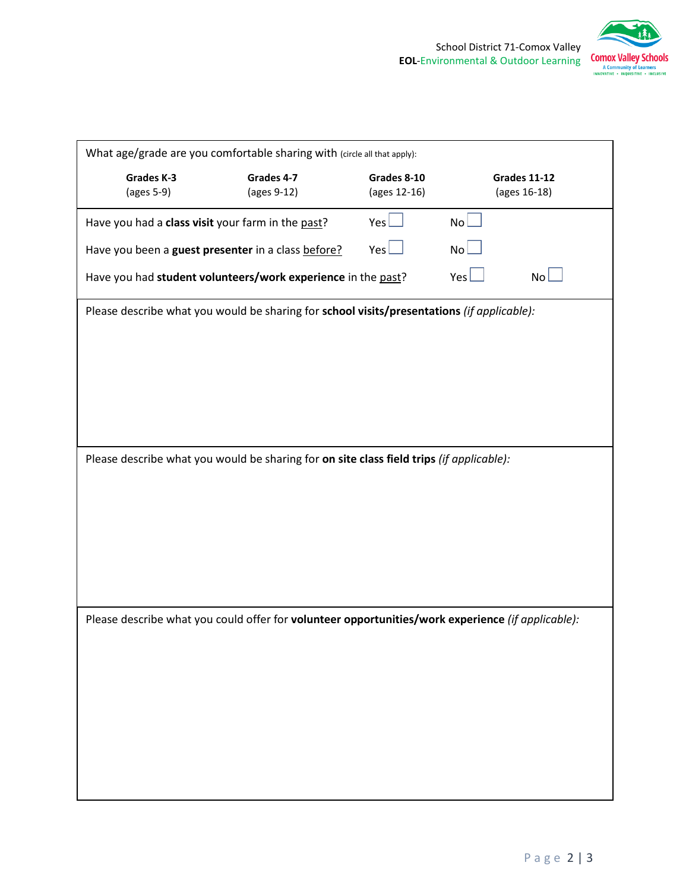

|                                                   | What age/grade are you comfortable sharing with (circle all that apply):                          |              |     |                     |
|---------------------------------------------------|---------------------------------------------------------------------------------------------------|--------------|-----|---------------------|
| Grades K-3                                        | Grades 4-7                                                                                        | Grades 8-10  |     | <b>Grades 11-12</b> |
| (ages 5-9)                                        | (ages 9-12)                                                                                       | (ages 12-16) |     | (ages 16-18)        |
| Have you had a class visit your farm in the past? |                                                                                                   | Yes          | NoL |                     |
|                                                   | Have you been a guest presenter in a class before?                                                | Yes          | NoL |                     |
|                                                   | Have you had student volunteers/work experience in the past?                                      |              | Yes | NoL                 |
|                                                   | Please describe what you would be sharing for school visits/presentations (if applicable):        |              |     |                     |
|                                                   |                                                                                                   |              |     |                     |
|                                                   |                                                                                                   |              |     |                     |
|                                                   |                                                                                                   |              |     |                     |
|                                                   |                                                                                                   |              |     |                     |
|                                                   |                                                                                                   |              |     |                     |
|                                                   |                                                                                                   |              |     |                     |
|                                                   | Please describe what you would be sharing for on site class field trips (if applicable):          |              |     |                     |
|                                                   |                                                                                                   |              |     |                     |
|                                                   |                                                                                                   |              |     |                     |
|                                                   |                                                                                                   |              |     |                     |
|                                                   |                                                                                                   |              |     |                     |
|                                                   |                                                                                                   |              |     |                     |
|                                                   |                                                                                                   |              |     |                     |
|                                                   |                                                                                                   |              |     |                     |
|                                                   | Please describe what you could offer for volunteer opportunities/work experience (if applicable): |              |     |                     |
|                                                   |                                                                                                   |              |     |                     |
|                                                   |                                                                                                   |              |     |                     |
|                                                   |                                                                                                   |              |     |                     |
|                                                   |                                                                                                   |              |     |                     |
|                                                   |                                                                                                   |              |     |                     |
|                                                   |                                                                                                   |              |     |                     |
|                                                   |                                                                                                   |              |     |                     |
|                                                   |                                                                                                   |              |     |                     |
|                                                   |                                                                                                   |              |     |                     |